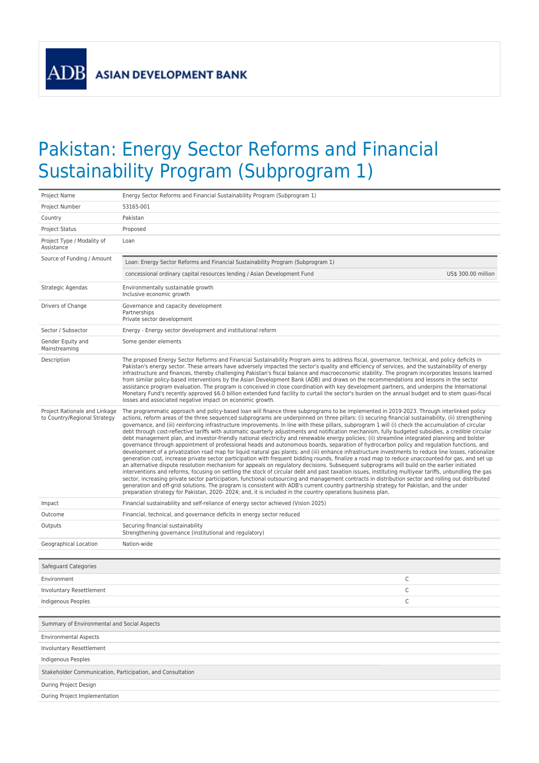**ADB** 

## Pakistan: Energy Sector Reforms and Financial Sustainability Program (Subprogram 1)

| Project Name                                                  | Energy Sector Reforms and Financial Sustainability Program (Subprogram 1)                                                                                                                                                                                                                                                                                                                                                                                                                                                                                                                                                                                                                                                                                                                                                                                                                                                                                                                                                                                                                                                                                                                                                                                                                                                                                                                                                                                                                                                                                                                                                                                                                                                                                                                                                                                                                                                                                  |  |
|---------------------------------------------------------------|------------------------------------------------------------------------------------------------------------------------------------------------------------------------------------------------------------------------------------------------------------------------------------------------------------------------------------------------------------------------------------------------------------------------------------------------------------------------------------------------------------------------------------------------------------------------------------------------------------------------------------------------------------------------------------------------------------------------------------------------------------------------------------------------------------------------------------------------------------------------------------------------------------------------------------------------------------------------------------------------------------------------------------------------------------------------------------------------------------------------------------------------------------------------------------------------------------------------------------------------------------------------------------------------------------------------------------------------------------------------------------------------------------------------------------------------------------------------------------------------------------------------------------------------------------------------------------------------------------------------------------------------------------------------------------------------------------------------------------------------------------------------------------------------------------------------------------------------------------------------------------------------------------------------------------------------------------|--|
| Project Number                                                | 53165-001                                                                                                                                                                                                                                                                                                                                                                                                                                                                                                                                                                                                                                                                                                                                                                                                                                                                                                                                                                                                                                                                                                                                                                                                                                                                                                                                                                                                                                                                                                                                                                                                                                                                                                                                                                                                                                                                                                                                                  |  |
| Country                                                       | Pakistan                                                                                                                                                                                                                                                                                                                                                                                                                                                                                                                                                                                                                                                                                                                                                                                                                                                                                                                                                                                                                                                                                                                                                                                                                                                                                                                                                                                                                                                                                                                                                                                                                                                                                                                                                                                                                                                                                                                                                   |  |
| <b>Project Status</b>                                         | Proposed                                                                                                                                                                                                                                                                                                                                                                                                                                                                                                                                                                                                                                                                                                                                                                                                                                                                                                                                                                                                                                                                                                                                                                                                                                                                                                                                                                                                                                                                                                                                                                                                                                                                                                                                                                                                                                                                                                                                                   |  |
| Project Type / Modality of<br>Assistance                      | Loan                                                                                                                                                                                                                                                                                                                                                                                                                                                                                                                                                                                                                                                                                                                                                                                                                                                                                                                                                                                                                                                                                                                                                                                                                                                                                                                                                                                                                                                                                                                                                                                                                                                                                                                                                                                                                                                                                                                                                       |  |
| Source of Funding / Amount                                    | Loan: Energy Sector Reforms and Financial Sustainability Program (Subprogram 1)                                                                                                                                                                                                                                                                                                                                                                                                                                                                                                                                                                                                                                                                                                                                                                                                                                                                                                                                                                                                                                                                                                                                                                                                                                                                                                                                                                                                                                                                                                                                                                                                                                                                                                                                                                                                                                                                            |  |
|                                                               | concessional ordinary capital resources lending / Asian Development Fund<br>US\$ 300.00 million                                                                                                                                                                                                                                                                                                                                                                                                                                                                                                                                                                                                                                                                                                                                                                                                                                                                                                                                                                                                                                                                                                                                                                                                                                                                                                                                                                                                                                                                                                                                                                                                                                                                                                                                                                                                                                                            |  |
| Strategic Agendas                                             | Environmentally sustainable growth<br>Inclusive economic growth                                                                                                                                                                                                                                                                                                                                                                                                                                                                                                                                                                                                                                                                                                                                                                                                                                                                                                                                                                                                                                                                                                                                                                                                                                                                                                                                                                                                                                                                                                                                                                                                                                                                                                                                                                                                                                                                                            |  |
| Drivers of Change                                             | Governance and capacity development<br>Partnerships<br>Private sector development                                                                                                                                                                                                                                                                                                                                                                                                                                                                                                                                                                                                                                                                                                                                                                                                                                                                                                                                                                                                                                                                                                                                                                                                                                                                                                                                                                                                                                                                                                                                                                                                                                                                                                                                                                                                                                                                          |  |
| Sector / Subsector                                            | Energy - Energy sector development and institutional reform                                                                                                                                                                                                                                                                                                                                                                                                                                                                                                                                                                                                                                                                                                                                                                                                                                                                                                                                                                                                                                                                                                                                                                                                                                                                                                                                                                                                                                                                                                                                                                                                                                                                                                                                                                                                                                                                                                |  |
| Gender Equity and<br>Mainstreaming                            | Some gender elements                                                                                                                                                                                                                                                                                                                                                                                                                                                                                                                                                                                                                                                                                                                                                                                                                                                                                                                                                                                                                                                                                                                                                                                                                                                                                                                                                                                                                                                                                                                                                                                                                                                                                                                                                                                                                                                                                                                                       |  |
| Description                                                   | The proposed Energy Sector Reforms and Financial Sustainability Program aims to address fiscal, governance, technical, and policy deficits in<br>Pakistan's energy sector. These arrears have adversely impacted the sector's quality and efficiency of services, and the sustainability of energy<br>infrastructure and finances, thereby challenging Pakistan's fiscal balance and macroeconomic stability. The program incorporates lessons learned<br>from similar policy-based interventions by the Asian Development Bank (ADB) and draws on the recommendations and lessons in the sector<br>assistance program evaluation. The program is conceived in close coordination with key development partners, and underpins the International<br>Monetary Fund's recently approved \$6.0 billion extended fund facility to curtail the sector's burden on the annual budget and to stem quasi-fiscal<br>losses and associated negative impact on economic growth.                                                                                                                                                                                                                                                                                                                                                                                                                                                                                                                                                                                                                                                                                                                                                                                                                                                                                                                                                                                       |  |
| Project Rationale and Linkage<br>to Country/Regional Strategy | The programmatic approach and policy-based loan will finance three subprograms to be implemented in 2019-2023. Through interlinked policy<br>actions, reform areas of the three sequenced subprograms are underpinned on three pillars: (i) securing financial sustainability, (ii) strengthening<br>governance, and (iii) reinforcing infrastructure improvements. In line with these pillars, subprogram 1 will (i) check the accumulation of circular<br>debt through cost-reflective tariffs with automatic quarterly adjustments and notification mechanism, fully budgeted subsidies, a credible circular<br>debt management plan, and investor-friendly national electricity and renewable energy policies; (ii) streamline integrated planning and bolster<br>governance through appointment of professional heads and autonomous boards, separation of hydrocarbon policy and regulation functions, and<br>development of a privatization road map for liquid natural gas plants; and (iii) enhance infrastructure investments to reduce line losses, rationalize<br>generation cost, increase private sector participation with frequent bidding rounds, finalize a road map to reduce unaccounted-for gas, and set up<br>an alternative dispute resolution mechanism for appeals on regulatory decisions. Subsequent subprograms will build on the earlier initiated<br>interventions and reforms, focusing on settling the stock of circular debt and past taxation issues, instituting multiyear tariffs, unbundling the gas<br>sector, increasing private sector participation, functional outsourcing and management contracts in distribution sector and rolling out distributed<br>generation and off-grid solutions. The program is consistent with ADB's current country partnership strategy for Pakistan, and the under<br>preparation strategy for Pakistan, 2020-2024; and, it is included in the country operations business plan. |  |
| Impact                                                        | Financial sustainability and self-reliance of energy sector achieved (Vision 2025)                                                                                                                                                                                                                                                                                                                                                                                                                                                                                                                                                                                                                                                                                                                                                                                                                                                                                                                                                                                                                                                                                                                                                                                                                                                                                                                                                                                                                                                                                                                                                                                                                                                                                                                                                                                                                                                                         |  |
| Outcome                                                       | Financial, technical, and governance deficits in energy sector reduced                                                                                                                                                                                                                                                                                                                                                                                                                                                                                                                                                                                                                                                                                                                                                                                                                                                                                                                                                                                                                                                                                                                                                                                                                                                                                                                                                                                                                                                                                                                                                                                                                                                                                                                                                                                                                                                                                     |  |
| Outputs                                                       | Securing financial sustainability<br>Strengthening governance (institutional and regulatory)                                                                                                                                                                                                                                                                                                                                                                                                                                                                                                                                                                                                                                                                                                                                                                                                                                                                                                                                                                                                                                                                                                                                                                                                                                                                                                                                                                                                                                                                                                                                                                                                                                                                                                                                                                                                                                                               |  |
| Geographical Location                                         | Nation-wide                                                                                                                                                                                                                                                                                                                                                                                                                                                                                                                                                                                                                                                                                                                                                                                                                                                                                                                                                                                                                                                                                                                                                                                                                                                                                                                                                                                                                                                                                                                                                                                                                                                                                                                                                                                                                                                                                                                                                |  |
| Safeguard Categories                                          |                                                                                                                                                                                                                                                                                                                                                                                                                                                                                                                                                                                                                                                                                                                                                                                                                                                                                                                                                                                                                                                                                                                                                                                                                                                                                                                                                                                                                                                                                                                                                                                                                                                                                                                                                                                                                                                                                                                                                            |  |
| Environment                                                   | С                                                                                                                                                                                                                                                                                                                                                                                                                                                                                                                                                                                                                                                                                                                                                                                                                                                                                                                                                                                                                                                                                                                                                                                                                                                                                                                                                                                                                                                                                                                                                                                                                                                                                                                                                                                                                                                                                                                                                          |  |
| Involuntary Resettlement                                      | C                                                                                                                                                                                                                                                                                                                                                                                                                                                                                                                                                                                                                                                                                                                                                                                                                                                                                                                                                                                                                                                                                                                                                                                                                                                                                                                                                                                                                                                                                                                                                                                                                                                                                                                                                                                                                                                                                                                                                          |  |
| <b>Indigenous Peoples</b>                                     | C                                                                                                                                                                                                                                                                                                                                                                                                                                                                                                                                                                                                                                                                                                                                                                                                                                                                                                                                                                                                                                                                                                                                                                                                                                                                                                                                                                                                                                                                                                                                                                                                                                                                                                                                                                                                                                                                                                                                                          |  |
|                                                               |                                                                                                                                                                                                                                                                                                                                                                                                                                                                                                                                                                                                                                                                                                                                                                                                                                                                                                                                                                                                                                                                                                                                                                                                                                                                                                                                                                                                                                                                                                                                                                                                                                                                                                                                                                                                                                                                                                                                                            |  |
| Summary of Environmental and Social Aspects                   |                                                                                                                                                                                                                                                                                                                                                                                                                                                                                                                                                                                                                                                                                                                                                                                                                                                                                                                                                                                                                                                                                                                                                                                                                                                                                                                                                                                                                                                                                                                                                                                                                                                                                                                                                                                                                                                                                                                                                            |  |
| <b>Environmental Aspects</b>                                  |                                                                                                                                                                                                                                                                                                                                                                                                                                                                                                                                                                                                                                                                                                                                                                                                                                                                                                                                                                                                                                                                                                                                                                                                                                                                                                                                                                                                                                                                                                                                                                                                                                                                                                                                                                                                                                                                                                                                                            |  |
| Involuntary Resettlement                                      |                                                                                                                                                                                                                                                                                                                                                                                                                                                                                                                                                                                                                                                                                                                                                                                                                                                                                                                                                                                                                                                                                                                                                                                                                                                                                                                                                                                                                                                                                                                                                                                                                                                                                                                                                                                                                                                                                                                                                            |  |
| Indigenous Peoples                                            |                                                                                                                                                                                                                                                                                                                                                                                                                                                                                                                                                                                                                                                                                                                                                                                                                                                                                                                                                                                                                                                                                                                                                                                                                                                                                                                                                                                                                                                                                                                                                                                                                                                                                                                                                                                                                                                                                                                                                            |  |
| Stakeholder Communication, Participation, and Consultation    |                                                                                                                                                                                                                                                                                                                                                                                                                                                                                                                                                                                                                                                                                                                                                                                                                                                                                                                                                                                                                                                                                                                                                                                                                                                                                                                                                                                                                                                                                                                                                                                                                                                                                                                                                                                                                                                                                                                                                            |  |
| During Project Design                                         |                                                                                                                                                                                                                                                                                                                                                                                                                                                                                                                                                                                                                                                                                                                                                                                                                                                                                                                                                                                                                                                                                                                                                                                                                                                                                                                                                                                                                                                                                                                                                                                                                                                                                                                                                                                                                                                                                                                                                            |  |
| During Project Implementation                                 |                                                                                                                                                                                                                                                                                                                                                                                                                                                                                                                                                                                                                                                                                                                                                                                                                                                                                                                                                                                                                                                                                                                                                                                                                                                                                                                                                                                                                                                                                                                                                                                                                                                                                                                                                                                                                                                                                                                                                            |  |